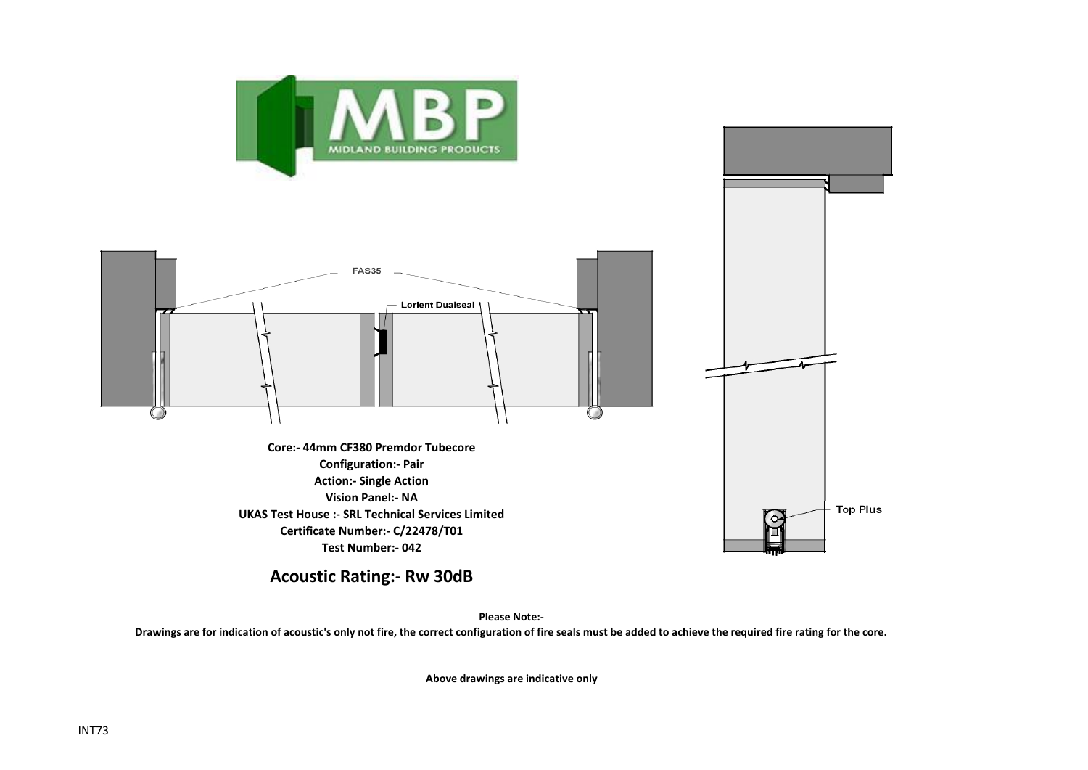



**UKAS Test House :- SRL Technical Services Limited Certificate Number:- C/22478/T01 Test Number:- 042**

**Acoustic Rating:- Rw 30dB**

**Please Note:-** 

**Drawings are for indication of acoustic's only not fire, the correct configuration of fire seals must be added to achieve the required fire rating for the core.**

**Above drawings are indicative only**